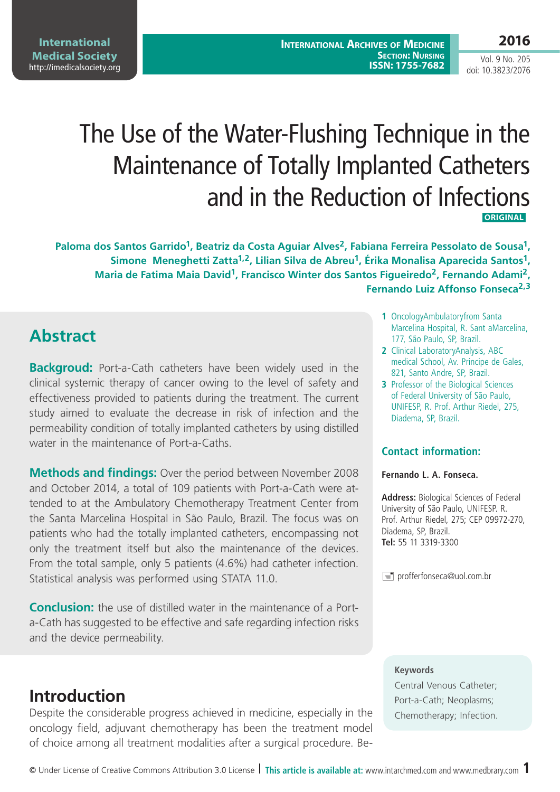**International Archives of Medicine SECTION: NURSING ISSN: 1755-7682**

Vol. 9 No. 205 doi: 10.3823/2076

# The Use of the Water-Flushing Technique in the Maintenance of Totally Implanted Catheters and in the Reduction of Infections **ORIGINAL**

Paloma dos Santos Garrido<sup>1</sup>, Beatriz da Costa Aguiar Alves<sup>2</sup>, Fabiana Ferreira Pessolato de Sousa<sup>1</sup>, Simone Meneghetti Zatta<sup>1,2</sup>, Lilian Silva de Abreu<sup>1</sup>, Érika Monalisa Aparecida Santos<sup>1</sup>, **Maria de Fatima Maia David1, Francisco Winter dos Santos Figueiredo2, Fernando Adami2, Fernando Luiz Affonso Fonseca2,3**

# **Abstract**

**Backgroud:** Port-a-Cath catheters have been widely used in the clinical systemic therapy of cancer owing to the level of safety and effectiveness provided to patients during the treatment. The current study aimed to evaluate the decrease in risk of infection and the permeability condition of totally implanted catheters by using distilled water in the maintenance of Port-a-Caths

**Methods and findings:** Over the period between November 2008 and October 2014, a total of 109 patients with Port-a-Cath were attended to at the Ambulatory Chemotherapy Treatment Center from the Santa Marcelina Hospital in São Paulo, Brazil. The focus was on patients who had the totally implanted catheters, encompassing not only the treatment itself but also the maintenance of the devices. From the total sample, only 5 patients (4.6%) had catheter infection. Statistical analysis was performed using STATA 11.0.

**Conclusion:** the use of distilled water in the maintenance of a Porta-Cath has suggested to be effective and safe regarding infection risks and the device permeability.

### **Introduction**

Despite the considerable progress achieved in medicine, especially in the oncology field, adjuvant chemotherapy has been the treatment model of choice among all treatment modalities after a surgical procedure. Be-

- **1** OncologyAmbulatoryfrom Santa Marcelina Hospital, R. Sant aMarcelina, 177, São Paulo, SP, Brazil.
- **2** Clinical LaboratoryAnalysis, ABC medical School, Av. Principe de Gales, 821, Santo Andre, SP, Brazil.
- **3** Professor of the Biological Sciences of Federal University of São Paulo, UNIFESP, R. Prof. Arthur Riedel, 275, Diadema, SP, Brazil.

#### **Contact information:**

#### **Fernando L. A. Fonseca.**

**Address:** Biological Sciences of Federal University of São Paulo, UNIFESP. R. Prof. Arthur Riedel, 275; CEP 09972-270, Diadema, SP, Brazil. **Tel:** 55 11 3319-3300

 $\equiv$  profferfonseca@uol.com.br

#### **Keywords**

Central Venous Catheter; Port-a-Cath; Neoplasms; Chemotherapy; Infection.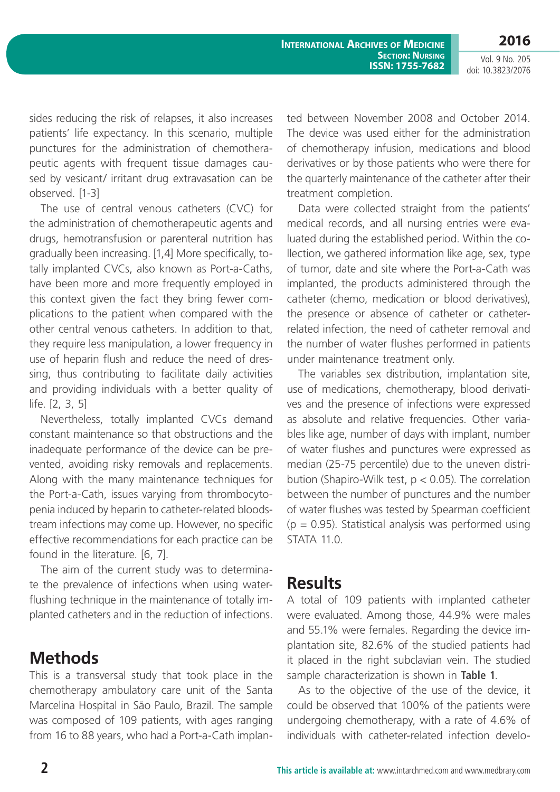**2016**

**International Archives of Medicine SECTION: NURSING ISSN: 1755-7682**

Vol. 9 No. 205 doi: 10.3823/2076

sides reducing the risk of relapses, it also increases patients' life expectancy. In this scenario, multiple punctures for the administration of chemotherapeutic agents with frequent tissue damages caused by vesicant/ irritant drug extravasation can be observed. [1-3]

The use of central venous catheters (CVC) for the administration of chemotherapeutic agents and drugs, hemotransfusion or parenteral nutrition has gradually been increasing. [1,4] More specifically, totally implanted CVCs, also known as Port-a-Caths, have been more and more frequently employed in this context given the fact they bring fewer complications to the patient when compared with the other central venous catheters. In addition to that, they require less manipulation, a lower frequency in use of heparin flush and reduce the need of dressing, thus contributing to facilitate daily activities and providing individuals with a better quality of life. [2, 3, 5]

Nevertheless, totally implanted CVCs demand constant maintenance so that obstructions and the inadequate performance of the device can be prevented, avoiding risky removals and replacements. Along with the many maintenance techniques for the Port-a-Cath, issues varying from thrombocytopenia induced by heparin to catheter-related bloodstream infections may come up. However, no specific effective recommendations for each practice can be found in the literature. [6, 7].

The aim of the current study was to determinate the prevalence of infections when using waterflushing technique in the maintenance of totally implanted catheters and in the reduction of infections.

### **Methods**

This is a transversal study that took place in the chemotherapy ambulatory care unit of the Santa Marcelina Hospital in São Paulo, Brazil. The sample was composed of 109 patients, with ages ranging from 16 to 88 years, who had a Port-a-Cath implanted between November 2008 and October 2014. The device was used either for the administration of chemotherapy infusion, medications and blood derivatives or by those patients who were there for the quarterly maintenance of the catheter after their treatment completion.

Data were collected straight from the patients' medical records, and all nursing entries were evaluated during the established period. Within the collection, we gathered information like age, sex, type of tumor, date and site where the Port-a-Cath was implanted, the products administered through the catheter (chemo, medication or blood derivatives), the presence or absence of catheter or catheterrelated infection, the need of catheter removal and the number of water flushes performed in patients under maintenance treatment only.

The variables sex distribution, implantation site, use of medications, chemotherapy, blood derivatives and the presence of infections were expressed as absolute and relative frequencies. Other variables like age, number of days with implant, number of water flushes and punctures were expressed as median (25-75 percentile) due to the uneven distribution (Shapiro-Wilk test,  $p < 0.05$ ). The correlation between the number of punctures and the number of water flushes was tested by Spearman coefficient  $(p = 0.95)$ . Statistical analysis was performed using STATA 11.0.

### **Results**

A total of 109 patients with implanted catheter were evaluated. Among those, 44.9% were males and 55.1% were females. Regarding the device implantation site, 82.6% of the studied patients had it placed in the right subclavian vein. The studied sample characterization is shown in **Table 1**.

As to the objective of the use of the device, it could be observed that 100% of the patients were undergoing chemotherapy, with a rate of 4.6% of individuals with catheter-related infection develo-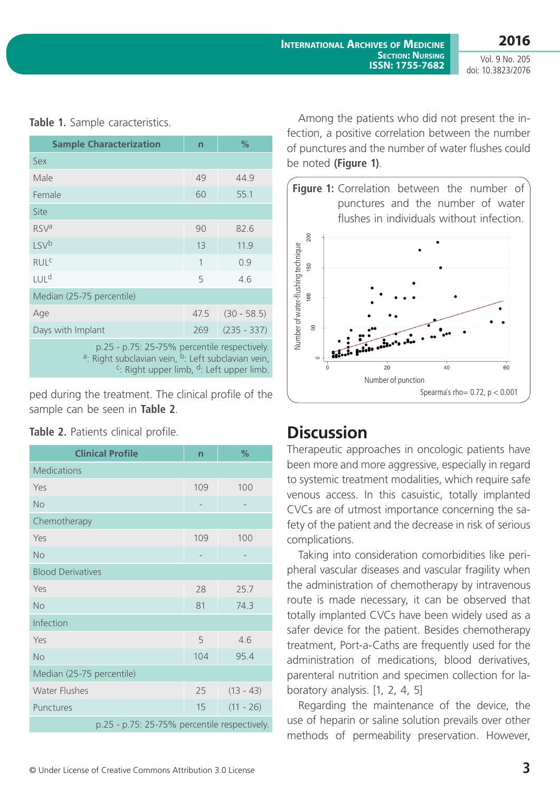Vol. 9 No. 205 doi: 10.3823/2076

| <b>Sample Characterization</b>                                                                                             | n    | $\%$          |  |
|----------------------------------------------------------------------------------------------------------------------------|------|---------------|--|
| Sex                                                                                                                        |      |               |  |
| Male                                                                                                                       | 49   | 44.9          |  |
| Female                                                                                                                     | 60   | 55.1          |  |
| Site                                                                                                                       |      |               |  |
| <b>RSV<sup>a</sup></b>                                                                                                     | 90   | 82.6          |  |
| LSV <sup>b</sup>                                                                                                           | 13   | 11.9          |  |
| <b>RUL<sup>C</sup></b>                                                                                                     | 1    | 0.9           |  |
| LUL <sup>d</sup>                                                                                                           | 5    | 4.6           |  |
| Median (25-75 percentile)                                                                                                  |      |               |  |
| Age                                                                                                                        | 47.5 | $(30 - 58.5)$ |  |
| Days with Implant                                                                                                          | 269  | $(235 - 337)$ |  |
| p.25 - p.75: 25-75% percentile respectively.<br><sup>a</sup> : Right subclavian vein, <sup>b</sup> : Left subclavian vein, |      |               |  |

**Table 1.** Sample caracteristics.

<sup>c</sup>: Right upper limb,  $\frac{d}{dx}$ . Left upper limb.

ped during the treatment. The clinical profile of the sample can be seen in **Table 2**.

| <b>Clinical Profile</b>                      | $\overline{n}$ | %           |
|----------------------------------------------|----------------|-------------|
| <b>Medications</b>                           |                |             |
| Yes                                          | 109            | 100         |
| <b>No</b>                                    |                |             |
| Chemotherapy                                 |                |             |
| Yes                                          | 109            | 100         |
| <b>No</b>                                    |                |             |
| <b>Blood Derivatives</b>                     |                |             |
| Yes                                          | 28             | 25.7        |
| <b>No</b>                                    | 81             | 74.3        |
| Infection                                    |                |             |
| Yes                                          | 5              | 4.6         |
| <b>No</b>                                    | 104            | 95.4        |
| Median (25-75 percentile)                    |                |             |
| <b>Water Flushes</b>                         | 25             | $(13 - 43)$ |
| Punctures                                    | 15             | $(11 - 26)$ |
| p.25 - p.75: 25-75% percentile respectively. |                |             |

Table 2. Patients clinical profile.

Among the patients who did not present the infection, a positive correlation between the number of punctures and the number of water flushes could be noted **(Figure 1)**.



# **Discussion**

Therapeutic approaches in oncologic patients have been more and more aggressive, especially in regard to systemic treatment modalities, which require safe venous access. In this casuistic, totally implanted CVCs are of utmost importance concerning the safety of the patient and the decrease in risk of serious complications.

Taking into consideration comorbidities like peripheral vascular diseases and vascular fragility when the administration of chemotherapy by intravenous route is made necessary, it can be observed that totally implanted CVCs have been widely used as a safer device for the patient. Besides chemotherapy treatment, Port-a-Caths are frequently used for the administration of medications, blood derivatives, parenteral nutrition and specimen collection for laboratory analysis. [1, 2, 4, 5]

Regarding the maintenance of the device, the use of heparin or saline solution prevails over other methods of permeability preservation. However,